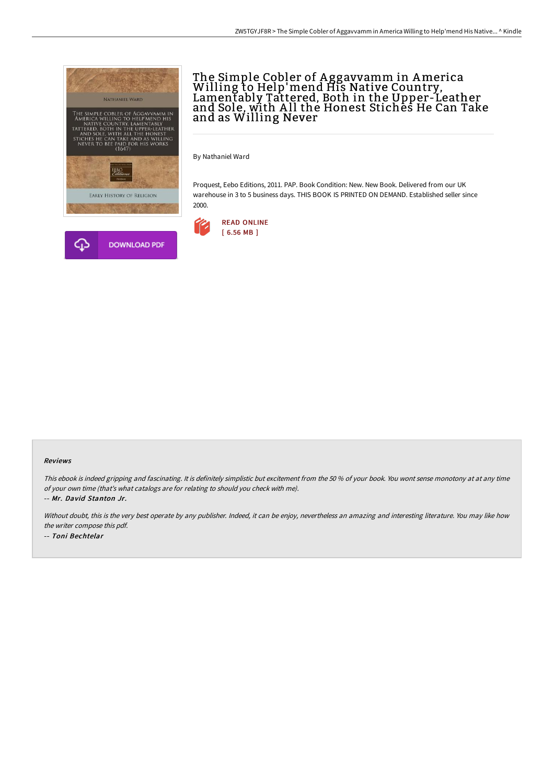

# The Simple Cobler of A ggavvamm in America Willing to Help'mend His Native Country, Lamentably Tattered, Both in the Upper-Leather and Sole, with All the Honest Stiches He Can Take and as Willing Never

By Nathaniel Ward

Proquest, Eebo Editions, 2011. PAP. Book Condition: New. New Book. Delivered from our UK warehouse in 3 to 5 business days. THIS BOOK IS PRINTED ON DEMAND. Established seller since 2000.



#### Reviews

This ebook is indeed gripping and fascinating. It is definitely simplistic but excitement from the <sup>50</sup> % of your book. You wont sense monotony at at any time of your own time (that's what catalogs are for relating to should you check with me).

-- Mr. David Stanton Jr.

Without doubt, this is the very best operate by any publisher. Indeed, it can be enjoy, nevertheless an amazing and interesting literature. You may like how the writer compose this pdf. -- Toni Bechtelar